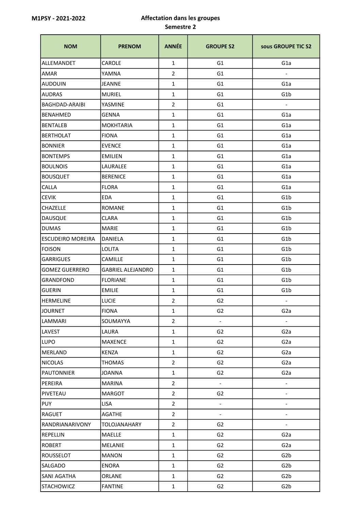## M1PSY - 2021-2022 Affectation dans les groupes Semestre 2

| <b>NOM</b>               | <b>PRENOM</b>            | <b>ANNÉE</b>   | <b>GROUPE S2</b>         | sous GROUPE TIC S2       |
|--------------------------|--------------------------|----------------|--------------------------|--------------------------|
| ALLEMANDET               | CAROLE                   | $\mathbf{1}$   | G <sub>1</sub>           | G <sub>1</sub> a         |
| <b>AMAR</b>              | YAMNA                    | $\overline{2}$ | G <sub>1</sub>           |                          |
| <b>AUDOUIN</b>           | <b>JEANNE</b>            | $\mathbf{1}$   | G <sub>1</sub>           | G1a                      |
| <b>AUDRAS</b>            | <b>MURIEL</b>            | $\mathbf{1}$   | G <sub>1</sub>           | G <sub>1</sub> b         |
| <b>BAGHDAD-ARAIBI</b>    | YASMINE                  | $\overline{2}$ | G <sub>1</sub>           | $\overline{\phantom{a}}$ |
| <b>BENAHMED</b>          | <b>GENNA</b>             | $\mathbf{1}$   | G <sub>1</sub>           | G <sub>1</sub> a         |
| BENTALEB                 | <b>MOKHTARIA</b>         | $\mathbf{1}$   | G <sub>1</sub>           | G <sub>1</sub> a         |
| BERTHOLAT                | <b>FIONA</b>             | $\mathbf{1}$   | G <sub>1</sub>           | G <sub>1</sub> a         |
| <b>BONNIER</b>           | <b>EVENCE</b>            | $\mathbf{1}$   | G <sub>1</sub>           | G <sub>1</sub> a         |
| <b>BONTEMPS</b>          | <b>EMILIEN</b>           | $\mathbf{1}$   | G <sub>1</sub>           | G1a                      |
| <b>BOULNOIS</b>          | LAURALEE                 | $\mathbf{1}$   | G <sub>1</sub>           | G <sub>1</sub> a         |
| <b>BOUSQUET</b>          | <b>BERENICE</b>          | $\mathbf{1}$   | G <sub>1</sub>           | G <sub>1</sub> a         |
| <b>CALLA</b>             | <b>FLORA</b>             | $\mathbf{1}$   | G <sub>1</sub>           | G <sub>1</sub> a         |
| <b>CEVIK</b>             | <b>EDA</b>               | $\mathbf{1}$   | G <sub>1</sub>           | G <sub>1</sub> b         |
| <b>CHAZELLE</b>          | <b>ROMANE</b>            | $\mathbf{1}$   | G <sub>1</sub>           | G <sub>1</sub> b         |
| DAUSQUE                  | <b>CLARA</b>             | $\mathbf{1}$   | G <sub>1</sub>           | G1b                      |
| <b>DUMAS</b>             | <b>MARIE</b>             | $\mathbf{1}$   | G <sub>1</sub>           | G <sub>1</sub> b         |
| <b>ESCUDEIRO MOREIRA</b> | DANIELA                  | $\mathbf{1}$   | G <sub>1</sub>           | G <sub>1</sub> b         |
| FOISON                   | <b>LOLITA</b>            | $\mathbf{1}$   | G1                       | G <sub>1</sub> b         |
| <b>GARRIGUES</b>         | <b>CAMILLE</b>           | $\mathbf{1}$   | G <sub>1</sub>           | G1b                      |
| <b>GOMEZ GUERRERO</b>    | <b>GABRIEL ALEJANDRO</b> | $\mathbf{1}$   | G <sub>1</sub>           | G <sub>1</sub> b         |
| <b>GRANDFOND</b>         | <b>FLORIANE</b>          | $\mathbf{1}$   | G <sub>1</sub>           | G1b                      |
| GUERIN                   | <b>EMILIE</b>            | $\mathbf{1}$   | G <sub>1</sub>           | G <sub>1</sub> b         |
| <b>HERMELINE</b>         | <b>LUCIE</b>             | $\overline{2}$ | G <sub>2</sub>           | $\overline{\phantom{a}}$ |
| <b>JOURNET</b>           | <b>FIONA</b>             | $\mathbf{1}$   | G <sub>2</sub>           | G <sub>2</sub> a         |
| LAMMARI                  | SOUMAYYA                 | $\overline{2}$ | $\overline{\phantom{a}}$ | $\blacksquare$           |
| LAVEST                   | LAURA                    | $\mathbf{1}$   | G <sub>2</sub>           | G <sub>2</sub> a         |
| LUPO                     | <b>MAXENCE</b>           | $\mathbf{1}$   | G <sub>2</sub>           | G <sub>2</sub> a         |
| MERLAND                  | <b>KENZA</b>             | $\mathbf{1}$   | G <sub>2</sub>           | G <sub>2</sub> a         |
| NICOLAS                  | THOMAS                   | $\overline{2}$ | G <sub>2</sub>           | G <sub>2</sub> a         |
| <b>PAUTONNIER</b>        | <b>JOANNA</b>            | $\mathbf{1}$   | G <sub>2</sub>           | G <sub>2</sub> a         |
| PEREIRA                  | <b>MARINA</b>            | $\overline{2}$ | $\blacksquare$           | $\frac{1}{2}$            |
| PIVETEAU                 | <b>MARGOT</b>            | $\overline{2}$ | G <sub>2</sub>           |                          |
| PUY                      | <b>LISA</b>              | $\overline{2}$ | $\overline{\phantom{a}}$ | $\overline{\phantom{a}}$ |
| <b>RAGUET</b>            | AGATHE                   | $\overline{2}$ | $\blacksquare$           | $\frac{1}{2}$            |
| RANDRIANARIVONY          | TOLOJANAHARY             | $\overline{2}$ | G <sub>2</sub>           | $\blacksquare$           |
| REPELLIN                 | MAELLE                   | $\mathbf{1}$   | G <sub>2</sub>           | G <sub>2</sub> a         |
| ROBERT                   | MELANIE                  | $\mathbf{1}$   | G <sub>2</sub>           | G <sub>2</sub> a         |
| ROUSSELOT                | <b>MANON</b>             | $\mathbf{1}$   | G <sub>2</sub>           | G <sub>2</sub> b         |
| SALGADO                  | <b>ENORA</b>             | $\mathbf{1}$   | G <sub>2</sub>           | G <sub>2</sub> b         |
| SANI AGATHA              | ORLANE                   | $\mathbf{1}$   | G <sub>2</sub>           | G <sub>2</sub> b         |
| STACHOWICZ               | <b>FANTINE</b>           | $\mathbf{1}$   | G <sub>2</sub>           | G <sub>2</sub> b         |